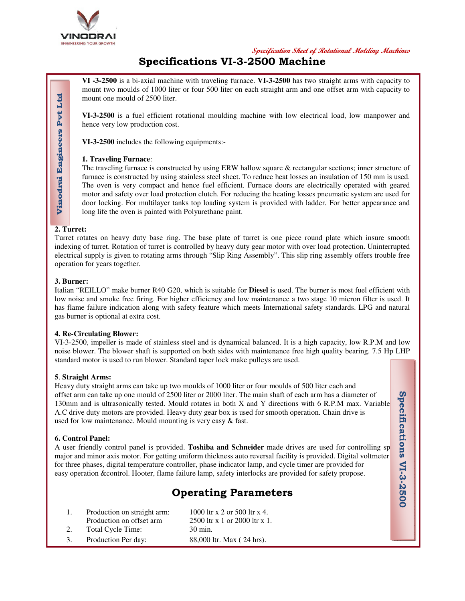

**Specification Sheet of Rotational Molding Machines**

# **Specifications VI-3-2500 Machine**

**VI -3-2500** is a bi-axial machine with traveling furnace. **VI-3-2500** has two straight arms with capacity to mount two moulds of 1000 liter or four 500 liter on each straight arm and one offset arm with capacity to mount one mould of 2500 liter.

**VI-3-2500** is a fuel efficient rotational moulding machine with low electrical load, low manpower and hence very low production cost.

**VI-3-2500** includes the following equipments:-

## **1. Traveling Furnace**:

The traveling furnace is constructed by using ERW hallow square & rectangular sections; inner structure of furnace is constructed by using stainless steel sheet. To reduce heat losses an insulation of 150 mm is used. The oven is very compact and hence fuel efficient. Furnace doors are electrically operated with geared motor and safety over load protection clutch. For reducing the heating losses pneumatic system are used for door locking. For multilayer tanks top loading system is provided with ladder. For better appearance and long life the oven is painted with Polyurethane paint.

## **2. Turret:**

Vinodrai Engineers Pvt Ltd

Turret rotates on heavy duty base ring. The base plate of turret is one piece round plate which insure smooth indexing of turret. Rotation of turret is controlled by heavy duty gear motor with over load protection. Uninterrupted electrical supply is given to rotating arms through "Slip Ring Assembly". This slip ring assembly offers trouble free operation for years together.

## **3. Burner:**

Italian "REILLO" make burner R40 G20, which is suitable for **Diesel** is used. The burner is most fuel efficient with low noise and smoke free firing. For higher efficiency and low maintenance a two stage 10 micron filter is used. It has flame failure indication along with safety feature which meets International safety standards. LPG and natural gas burner is optional at extra cost.

## **4. Re-Circulating Blower:**

VI-3-2500, impeller is made of stainless steel and is dynamical balanced. It is a high capacity, low R.P.M and low noise blower. The blower shaft is supported on both sides with maintenance free high quality bearing. 7.5 Hp LHP standard motor is used to run blower. Standard taper lock make pulleys are used.

## **5**. **Straight Arms:**

Heavy duty straight arms can take up two moulds of 1000 liter or four moulds of 500 liter each and offset arm can take up one mould of 2500 liter or 2000 liter. The main shaft of each arm has a diameter of 130mm and is ultrasonically tested. Mould rotates in both X and Y directions with 6 R.P.M max. Variable A.C drive duty motors are provided. Heavy duty gear box is used for smooth operation. Chain drive is used for low maintenance. Mould mounting is very easy & fast.

## **6. Control Panel:**

A user friendly control panel is provided. Toshiba and Schneider made drives are used for controlling sp major and minor axis motor. For getting uniform thickness auto reversal facility is provided. Digital voltmeter for three phases, digital temperature controller, phase indicator lamp, and cycle timer are provided for easy operation &control. Hooter, flame failure lamp, safety interlocks are provided for safety propose.

# **Operating Parameters**

|    | Production on straight arm: | 1000 ltr x 2 or 500 ltr x 4.  |
|----|-----------------------------|-------------------------------|
|    | Production on offset arm    | 2500 ltr x 1 or 2000 ltr x 1. |
| 2. | Total Cycle Time:           | 30 min.                       |
| 3. | Production Per day:         | 88,000 ltr. Max (24 hrs).     |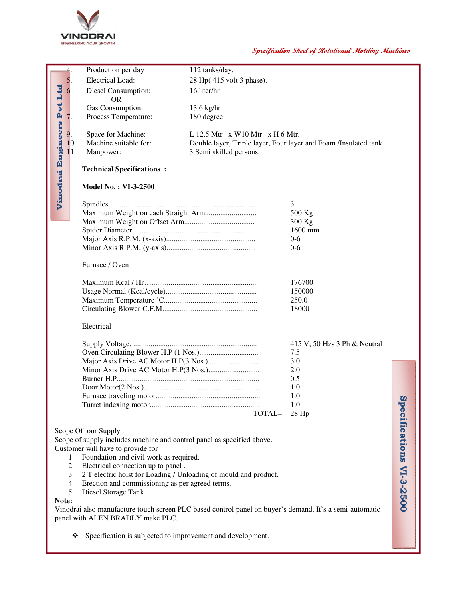

| $\overline{4}$ .                                                                                                                            | Production per day                                               | 112 tanks/day.                                                   |                              |                         |  |
|---------------------------------------------------------------------------------------------------------------------------------------------|------------------------------------------------------------------|------------------------------------------------------------------|------------------------------|-------------------------|--|
| 5.                                                                                                                                          | <b>Electrical Load:</b>                                          | 28 Hp(415 volt 3 phase).                                         |                              |                         |  |
| 6                                                                                                                                           | Diesel Consumption:                                              | 16 liter/hr                                                      |                              |                         |  |
|                                                                                                                                             | <b>OR</b>                                                        |                                                                  |                              |                         |  |
| Pyt Ltd                                                                                                                                     | Gas Consumption:                                                 | 13.6 kg/hr                                                       |                              |                         |  |
| 7.                                                                                                                                          | Process Temperature:                                             | 180 degree.                                                      |                              |                         |  |
|                                                                                                                                             |                                                                  |                                                                  |                              |                         |  |
| 9.                                                                                                                                          | Space for Machine:                                               | L 12.5 Mtr $\,$ x W10 Mtr $\,$ x H 6 Mtr.                        |                              |                         |  |
| 10.                                                                                                                                         | Machine suitable for:                                            | Double layer, Triple layer, Four layer and Foam /Insulated tank. |                              |                         |  |
| 11.                                                                                                                                         | Manpower:                                                        | 3 Semi skilled persons.                                          |                              |                         |  |
|                                                                                                                                             |                                                                  |                                                                  |                              |                         |  |
|                                                                                                                                             | <b>Technical Specifications:</b>                                 |                                                                  |                              |                         |  |
| Vinodrai Engineers                                                                                                                          | <b>Model No.: VI-3-2500</b>                                      |                                                                  |                              |                         |  |
|                                                                                                                                             |                                                                  |                                                                  |                              |                         |  |
|                                                                                                                                             |                                                                  |                                                                  | 3                            |                         |  |
|                                                                                                                                             |                                                                  |                                                                  | 500 Kg                       |                         |  |
|                                                                                                                                             |                                                                  |                                                                  | 300 Kg<br>1600 mm            |                         |  |
|                                                                                                                                             |                                                                  |                                                                  | $0 - 6$                      |                         |  |
|                                                                                                                                             |                                                                  |                                                                  | $0 - 6$                      |                         |  |
|                                                                                                                                             |                                                                  |                                                                  |                              |                         |  |
|                                                                                                                                             | Furnace / Oven                                                   |                                                                  |                              |                         |  |
|                                                                                                                                             |                                                                  |                                                                  | 176700                       |                         |  |
|                                                                                                                                             |                                                                  |                                                                  | 150000                       |                         |  |
|                                                                                                                                             |                                                                  |                                                                  | 250.0                        |                         |  |
|                                                                                                                                             |                                                                  |                                                                  | 18000                        |                         |  |
|                                                                                                                                             | Electrical                                                       |                                                                  |                              |                         |  |
|                                                                                                                                             |                                                                  |                                                                  | 415 V, 50 Hzs 3 Ph & Neutral |                         |  |
|                                                                                                                                             |                                                                  |                                                                  | 7.5                          |                         |  |
|                                                                                                                                             |                                                                  |                                                                  | 3.0                          |                         |  |
|                                                                                                                                             |                                                                  |                                                                  | 2.0                          |                         |  |
|                                                                                                                                             |                                                                  |                                                                  | 0.5                          |                         |  |
|                                                                                                                                             |                                                                  |                                                                  | 1.0                          |                         |  |
|                                                                                                                                             |                                                                  |                                                                  | 1.0                          | $\boldsymbol{\omega}$   |  |
|                                                                                                                                             |                                                                  |                                                                  | 1.0                          |                         |  |
|                                                                                                                                             |                                                                  | TOTAL=                                                           | 28 Hp                        |                         |  |
|                                                                                                                                             | Scope Of our Supply:                                             |                                                                  |                              |                         |  |
| Scope of supply includes machine and control panel as specified above.                                                                      |                                                                  |                                                                  |                              |                         |  |
| Customer will have to provide for                                                                                                           |                                                                  |                                                                  |                              |                         |  |
| 1                                                                                                                                           | Foundation and civil work as required.                           |                                                                  |                              |                         |  |
| 2                                                                                                                                           | Electrical connection up to panel.                               |                                                                  |                              |                         |  |
| 3                                                                                                                                           | 2 T electric hoist for Loading / Unloading of mould and product. |                                                                  |                              |                         |  |
| 4                                                                                                                                           | Erection and commissioning as per agreed terms.                  |                                                                  |                              |                         |  |
| 5                                                                                                                                           | Diesel Storage Tank.                                             |                                                                  |                              | pecifications VI-3-2500 |  |
| Note:                                                                                                                                       |                                                                  |                                                                  |                              |                         |  |
| Vinodrai also manufacture touch screen PLC based control panel on buyer's demand. It's a semi-automatic<br>panel with ALEN BRADLY make PLC. |                                                                  |                                                                  |                              |                         |  |
|                                                                                                                                             |                                                                  |                                                                  |                              |                         |  |

Specification is subjected to improvement and development.